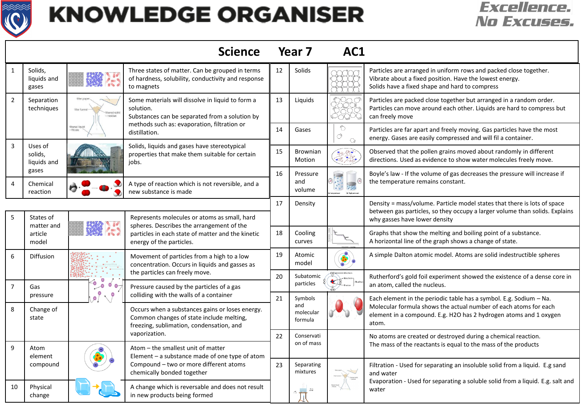

## **KNOWLEDGE ORGANISER**

## *Excellence.* **No Excuses.**

|                |                                             |                               | <b>Science</b>                                                                                                                                                             | Year <sub>7</sub> |                           | AC1                      |                                                                                                                                                                                                                        |  |
|----------------|---------------------------------------------|-------------------------------|----------------------------------------------------------------------------------------------------------------------------------------------------------------------------|-------------------|---------------------------|--------------------------|------------------------------------------------------------------------------------------------------------------------------------------------------------------------------------------------------------------------|--|
| $\mathbf{1}$   | Solids,<br>liquids and<br>gases             |                               | Three states of matter. Can be grouped in terms<br>of hardness, solubility, conductivity and response<br>to magnets                                                        | 12                | Solids                    |                          | Particles are arranged in uniform rows and packed close together.<br>Vibrate about a fixed position. Have the lowest energy.<br>Solids have a fixed shape and hard to compress                                         |  |
| $\overline{2}$ | Separation<br>techniques                    | filter funn<br>tered solic    | Some materials will dissolve in liquid to form a<br>solution.<br>Substances can be separated from a solution by                                                            | 13                | Liguids                   | ooc                      | Particles are packed close together but arranged in a random order.<br>Particles can move around each other. Liquids are hard to compress but<br>can freely move                                                       |  |
|                |                                             | filtered liquid<br>- filtrate | methods such as: evaporation, filtration or<br>distillation.                                                                                                               | 14                | Gases                     | Ô<br>Ò<br>$\bigcirc$     | Particles are far apart and freely moving. Gas particles have the most<br>energy. Gases are easily compressed and will fil a container.                                                                                |  |
| $\overline{3}$ | Uses of<br>solids,<br>liquids and           |                               | Solids, liquids and gases have stereotypical<br>properties that make them suitable for certain<br>jobs.                                                                    | 15                | Brownian<br>Motion        | 建築                       | Observed that the pollen grains moved about randomly in different<br>directions. Used as evidence to show water molecules freely move.                                                                                 |  |
| $\overline{4}$ | gases<br>Chemical<br>reaction               |                               | A type of reaction which is not reversible, and a<br>new substance is made                                                                                                 | 16                | Pressure<br>and<br>volume | 80302<br>dal High gressa | Boyle's law - If the volume of gas decreases the pressure will increase if<br>the temperature remains constant.                                                                                                        |  |
|                |                                             |                               |                                                                                                                                                                            | 17                | Density                   |                          | Density = mass/volume. Particle model states that there is lots of space                                                                                                                                               |  |
| 5              | States of<br>matter and<br>article<br>model | <b>P</b> an P                 | Represents molecules or atoms as small, hard<br>spheres. Describes the arrangement of the<br>particles in each state of matter and the kinetic<br>energy of the particles. |                   |                           |                          | between gas particles, so they occupy a larger volume than solids. Explains<br>why gasses have lower density                                                                                                           |  |
|                |                                             |                               |                                                                                                                                                                            | 18                | Cooling<br>curves         |                          | Graphs that show the melting and boiling point of a substance.<br>A horizontal line of the graph shows a change of state.                                                                                              |  |
| 6              | Diffusion                                   |                               | Movement of particles from a high to a low<br>concentration. Occurs in liquids and gasses as                                                                               | 19                | Atomic<br>model           |                          | A simple Dalton atomic model. Atoms are solid indestructible spheres                                                                                                                                                   |  |
| $\overline{7}$ | Gas                                         | $\bullet$<br>$\bullet$        | the particles can freely move.<br>Pressure caused by the particles of a gas                                                                                                | 20                | Subatomic<br>particles    |                          | Rutherford's gold foil experiment showed the existence of a dense core in<br>an atom, called the nucleus.                                                                                                              |  |
|                | pressure                                    | 0<br>$\sqrt{2}$<br>$\bullet$  | colliding with the walls of a container                                                                                                                                    | 21                | Symbols<br>and            |                          | Each element in the periodic table has a symbol. E.g. Sodium $-$ Na.<br>Molecular formula shows the actual number of each atoms for each<br>element in a compound. E.g. H2O has 2 hydrogen atoms and 1 oxygen<br>atom. |  |
| 8              | Change of<br>state                          |                               | Occurs when a substances gains or loses energy.<br>Common changes of state include melting,<br>freezing, sublimation, condensation, and                                    |                   | molecular<br>formula      |                          |                                                                                                                                                                                                                        |  |
|                |                                             |                               | vaporization.                                                                                                                                                              | 22                | Conservati<br>on of mass  |                          | No atoms are created or destroyed during a chemical reaction.<br>The mass of the reactants is equal to the mass of the products                                                                                        |  |
| 9              | Atom<br>element                             |                               | Atom - the smallest unit of matter<br>Element - a substance made of one type of atom<br>Compound - two or more different atoms<br>chemically bonded together               |                   |                           |                          |                                                                                                                                                                                                                        |  |
|                | compound                                    |                               |                                                                                                                                                                            | 23                | Separating<br>mixtures    |                          | Filtration - Used for separating an insoluble solid from a liquid. E.g sand<br>and water<br>Evaporation - Used for separating a soluble solid from a liquid. E.g. salt and<br>water                                    |  |
| 10             | Physical<br>change                          |                               | A change which is reversable and does not result<br>in new products being formed                                                                                           |                   | $\frac{36.5}{100.36}$     | Stand liquid             |                                                                                                                                                                                                                        |  |